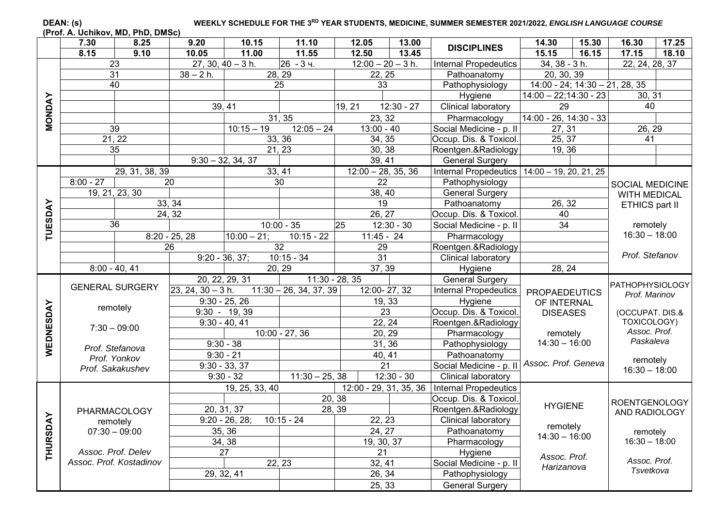## DEAN: (s) WEEKLY SCHEDULE FOR THE 3<sup>RD</sup> YEAR STUDENTS, MEDICINE, SUMMER SEMESTER 2021/2022, *ENGLISH LANGUAGE COURSE*

**(Prof. A. Uchikov, MD, PhD, DMSc)** 

|               | 7.30        | 8.25                    | 9.20                | 10.15               | 11.10                    | 12.05                | 13.00        | <b>DISCIPLINES</b>                             | 14.30                                     | 15.30 | 16.30                     | 17.25 |
|---------------|-------------|-------------------------|---------------------|---------------------|--------------------------|----------------------|--------------|------------------------------------------------|-------------------------------------------|-------|---------------------------|-------|
|               | 8.15        | 9.10                    | 10.05               | 11.00               | 11.55                    | 12.50                | 13.45        |                                                | 15.15                                     | 16.15 | 17.15                     | 18.10 |
|               |             | 23                      |                     | $27, 30, 40 - 3 h.$ | 26<br>$-34.$             | $12:00 - 20 - 3 h.$  |              | <b>Internal Propedeutics</b>                   | 34, 38 - 3 h.                             |       | 22, 24, 28, 37            |       |
|               |             | 31                      | $38 - 2 h$ .        |                     | 28, 29                   | 22, 25               |              | Pathoanatomy                                   | 20, 30, 39                                |       |                           |       |
|               |             | 40                      |                     |                     | 25                       | 33                   |              | Pathophysiology                                | $14:00 - 24$ ; $14:30 - 21$ , $28$ , $35$ |       |                           |       |
|               |             |                         |                     |                     |                          |                      |              | Hygiene                                        | $14:00 - 22;14:30 - 23$                   |       | 30, 31                    |       |
| <b>NONDAY</b> |             |                         |                     | 39, 41              |                          | 19, 21               | $12:30 - 27$ | Clinical laboratory                            | 29                                        |       | 40                        |       |
|               |             |                         |                     |                     | 31, 35                   | 23, 32               |              | Pharmacology                                   | $14:00 - 26, 14:30 - 33$                  |       |                           |       |
|               |             | 39                      |                     | $10:15 - 19$        | $12:05 - 24$             | $13:00 - 40$         |              | Social Medicine - p. II                        | 27, 31                                    |       | 26, 29                    |       |
|               |             | 21, 22                  |                     |                     | 33, 36                   | 34, 35               |              | Occup. Dis. & Toxicol.                         | 25, 37                                    |       | 41                        |       |
|               |             | 35                      |                     |                     | 21, 23                   | 30, 38               |              | Roentgen.&Radiology                            | 19, 36                                    |       |                           |       |
|               |             |                         |                     | $9:30 - 32, 34, 37$ |                          | 39, 41               |              | General Surgery                                |                                           |       |                           |       |
|               |             | 29, 31, 38, 39          |                     |                     | 33, 41                   | $12:00 - 28, 35, 36$ |              | Internal Propedeutics                          | $14:00 - 19, 20, 21, 25$                  |       |                           |       |
|               | $8:00 - 27$ |                         | 20                  |                     | 30                       | $\overline{22}$      |              | Pathophysiology                                |                                           |       | <b>SOCIAL MEDICINE</b>    |       |
|               |             | 19, 21, 23, 30          |                     |                     |                          | 38, 40               |              | <b>General Surgery</b>                         |                                           |       | <b>WITH MEDICAL</b>       |       |
|               |             |                         | 33, 34              |                     |                          | $\overline{19}$      |              | Pathoanatomy                                   | 26, 32                                    |       | ETHICS part II            |       |
|               |             |                         | 24, 32              |                     |                          | 26, 27               |              | Occup. Dis. & Toxicol.                         | 40                                        |       |                           |       |
| TUESDAY       |             | 36                      |                     |                     | $10:00 - 35$             | 25                   | $12:30 - 30$ | Social Medicine - p. II                        | 34                                        |       | remotely                  |       |
|               |             |                         | $8:20 - 25, 28$     | $10:00 - 21;$       | $10:15 - 22$             | $11:45 - 24$         |              | Pharmacology                                   |                                           |       | $16:30 - 18:00$           |       |
|               |             |                         | 26                  |                     | $\overline{32}$          | 29                   |              | Roentgen.&Radiology                            |                                           |       |                           |       |
|               |             |                         |                     | $9:20 - 36, 37;$    | $10:15 - 34$             | 31                   |              | Clinical laboratory                            |                                           |       | Prof. Stefanov            |       |
|               |             | $8:00 - 40, 41$         |                     |                     | 20, 29                   | 37, 39               |              | Hygiene                                        | 28, 24                                    |       |                           |       |
|               |             |                         |                     | 20, 22, 29, 31      | $11:30 - 28, 35$         |                      |              | General Surgery                                |                                           |       | <b>PATHOPHYSIOLOGY</b>    |       |
|               |             | <b>GENERAL SURGERY</b>  | $23, 24, 30 - 3 h.$ |                     | $11:30 - 26, 34, 37, 39$ | 12:00-27, 32         |              | <b>Internal Propedeutics</b>                   | <b>PROPAEDEUTICS</b>                      |       | Prof. Marinov             |       |
|               |             | remotely                |                     | $9:30 - 25, 26$     |                          | 19, 33               |              | Hygiene                                        | OF INTERNAL                               |       |                           |       |
|               |             |                         |                     | $9:30 - 19,39$      |                          | $\overline{23}$      |              | Occup. Dis. & Toxicol.                         | <b>DISEASES</b>                           |       | (OCCUPAT. DIS.&           |       |
|               |             | $7:30 - 09:00$          |                     | $9:30 - 40, 41$     |                          | 22, 24               |              | Roentgen.&Radiology                            |                                           |       | TOXICOLOGY)               |       |
|               |             |                         |                     |                     | $10:00 - 27,36$          | 20, 29               |              | Pharmacology                                   | remotely                                  |       | Assoc. Prof.<br>Paskaleva |       |
| WEDNESDAY     |             | Prof. Stefanova         |                     | $9:30 - 38$         |                          | 31, 36               |              | Pathophysiology                                | $14:30 - 16:00$                           |       |                           |       |
|               |             | Prof. Yonkov            |                     | $9:30 - 21$         |                          | 40, 41               |              | Pathoanatomy                                   | Assoc. Prof. Geneva                       |       | remotely                  |       |
|               |             | Prof. Sakakushev        |                     | $9:30 - 33, 37$     |                          | 21                   |              | Social Medicine - p. II                        |                                           |       | $16:30 - 18:00$           |       |
|               |             |                         |                     | $9:30 - 32$         | $11:30 - 25, 38$         |                      | $12:30 - 30$ | Clinical laboratory                            |                                           |       |                           |       |
|               |             |                         |                     | 19, 25, 33, 40      |                          |                      |              | 12:00 - 29, 31, 35, 36   Internal Propedeutics |                                           |       |                           |       |
|               |             |                         |                     |                     |                          | 20, 38               |              | Occup. Dis. & Toxicol.                         | <b>HYGIENE</b>                            |       | <b>ROENTGENOLOGY</b>      |       |
| ⋩             |             | PHARMACOLOGY            |                     | 20, 31, 37          |                          | 28, 39               |              | Roentgen.&Radiology                            |                                           |       | AND RADIOLOGY             |       |
|               |             | remotely                |                     | $9:20 - 26, 28;$    | $10:15 - 24$             | 22.23                |              | Clinical laboratory                            | remotely                                  |       |                           |       |
|               |             | $07:30 - 09:00$         |                     | 35, 36              |                          | 24, 27               |              | Pathoanatomy                                   | $14:30 - 16:00$                           |       | remotely                  |       |
| <b>THURSD</b> |             |                         |                     | 34, 38              |                          | 19, 30, 37           |              | Pharmacology                                   |                                           |       | $16:30 - 18:00$           |       |
|               |             | Assoc. Prof. Delev      |                     | 27                  |                          | $\overline{21}$      |              | Hygiene                                        | Assoc. Prof.                              |       |                           |       |
|               |             | Assoc. Prof. Kostadinov |                     |                     | 22, 23                   | 32, 41               |              | Social Medicine - p. II                        | Harizanova                                |       | Assoc. Prof.<br>Tsvetkova |       |
|               |             |                         |                     | 29, 32, 41          |                          | 26, 34               |              | Pathophysiology                                |                                           |       |                           |       |
|               |             |                         |                     |                     |                          | 25, 33               |              | <b>General Surgery</b>                         |                                           |       |                           |       |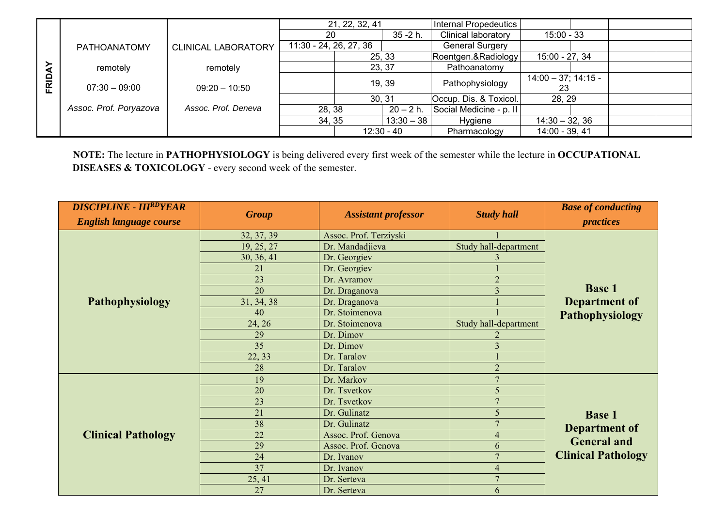|              |                        |                            |                        | 21, 22, 32, 41 |              | Internal Propedeutics   |                             |  |  |
|--------------|------------------------|----------------------------|------------------------|----------------|--------------|-------------------------|-----------------------------|--|--|
|              |                        |                            | 20                     |                | $35 - 2h$ .  | Clinical laboratory     | $15:00 - 33$                |  |  |
|              | PATHOANATOMY           | <b>CLINICAL LABORATORY</b> | 11:30 - 24, 26, 27, 36 |                |              | <b>General Surgery</b>  |                             |  |  |
|              |                        |                            |                        |                | 25, 33       | Roentgen.&Radiology     | 15:00 - 27, 34              |  |  |
|              | remotely               | remotely                   | 23, 37                 |                |              | Pathoanatomy            |                             |  |  |
| <b>FRIDA</b> | $07:30 - 09:00$        | $09:20 - 10:50$            | 19, 39                 |                |              | Pathophysiology         | $14:00 - 37; 14:15 -$<br>23 |  |  |
|              |                        |                            |                        |                | 30, 31       | Occup. Dis. & Toxicol.  | 28, 29                      |  |  |
|              | Assoc. Prof. Poryazova | Assoc. Prof. Deneva        | 28, 38                 |                | $20 - 2 h.$  | Social Medicine - p. II |                             |  |  |
|              |                        |                            | 34, 35                 |                | $13:30 - 38$ | Hygiene                 | $14:30 - 32, 36$            |  |  |
|              |                        |                            |                        |                | $12:30 - 40$ | Pharmacology            | 14:00 - 39, 41              |  |  |

**NOTE:** The lecture in **PATHOPHYSIOLOGY** is being delivered every first week of the semester while the lecture in **OCCUPATIONAL DISEASES & TOXICOLOGY** - every second week of the semester.

| <b>DISCIPLINE - IIIRDYEAR</b>  |              |                            |                       | <b>Base of conducting</b> |  |  |
|--------------------------------|--------------|----------------------------|-----------------------|---------------------------|--|--|
| <b>English language course</b> | <b>Group</b> | <b>Assistant professor</b> | <b>Study hall</b>     | <i>practices</i>          |  |  |
|                                | 32, 37, 39   | Assoc. Prof. Terziyski     |                       |                           |  |  |
|                                | 19, 25, 27   | Dr. Mandadjieva            | Study hall-department |                           |  |  |
|                                | 30, 36, 41   | Dr. Georgiev               |                       |                           |  |  |
|                                | 21           | Dr. Georgiev               |                       |                           |  |  |
|                                | 23           | Dr. Avramov                | $\overline{2}$        |                           |  |  |
|                                | 20           | Dr. Draganova              | 3                     | <b>Base 1</b>             |  |  |
| Pathophysiology                | 31, 34, 38   | Dr. Draganova              |                       | Department of             |  |  |
|                                | 40           | Dr. Stoimenova             |                       | <b>Pathophysiology</b>    |  |  |
|                                | 24, 26       | Dr. Stoimenova             | Study hall-department |                           |  |  |
|                                | 29           | Dr. Dimov                  |                       |                           |  |  |
|                                | 35           | Dr. Dimov                  | 3                     |                           |  |  |
|                                | 22, 33       | Dr. Taralov                |                       |                           |  |  |
|                                | 28           | Dr. Taralov                | $\overline{2}$        |                           |  |  |
|                                | 19           | Dr. Markov                 | $\overline{7}$        |                           |  |  |
|                                | 20           | Dr. Tsvetkov               | 5                     |                           |  |  |
|                                | 23           | Dr. Tsvetkov               | $\overline{7}$        |                           |  |  |
|                                | 21           | Dr. Gulinatz               | 5                     | <b>Base 1</b>             |  |  |
|                                | 38           | Dr. Gulinatz               | $\overline{7}$        | Department of             |  |  |
| <b>Clinical Pathology</b>      | 22           | Assoc. Prof. Genova        | $\overline{4}$        |                           |  |  |
|                                | 29           | Assoc. Prof. Genova        | 6                     | <b>General and</b>        |  |  |
|                                | 24           | Dr. Ivanov                 | $\overline{7}$        | <b>Clinical Pathology</b> |  |  |
|                                | 37           | Dr. Ivanov                 | $\overline{4}$        |                           |  |  |
|                                | 25, 41       | Dr. Serteva                | $\overline{7}$        |                           |  |  |
|                                | 27           | Dr. Serteva                | 6                     |                           |  |  |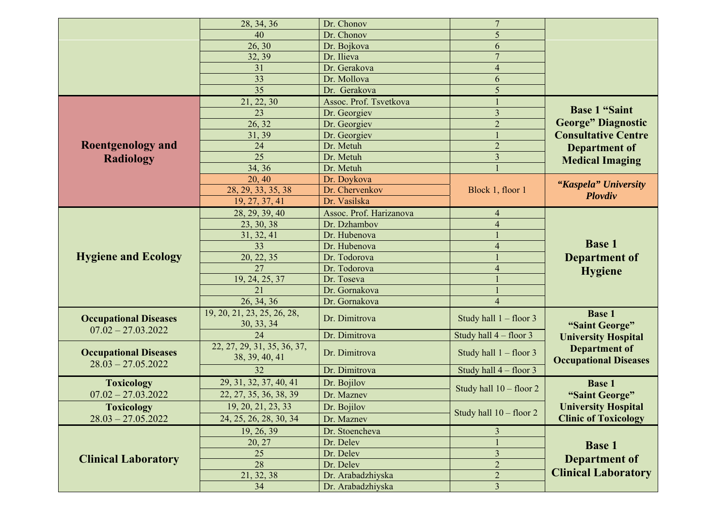|                              | 28, 34, 36                  | Dr. Chonov              | $\overline{7}$            |                              |
|------------------------------|-----------------------------|-------------------------|---------------------------|------------------------------|
|                              | 40                          | Dr. Chonov              | 5                         |                              |
|                              | 26, 30                      | Dr. Bojkova             | 6                         |                              |
|                              | 32, 39                      | Dr. Ilieva              | $\overline{7}$            |                              |
|                              | 31                          | Dr. Gerakova            | $\overline{4}$            |                              |
|                              | 33                          | Dr. Mollova             | 6                         |                              |
|                              | $\overline{35}$             | Dr. Gerakova            | 5                         |                              |
|                              | 21, 22, 30                  | Assoc. Prof. Tsvetkova  |                           |                              |
|                              | 23                          | Dr. Georgiev            | $\overline{\mathbf{3}}$   | <b>Base 1 "Saint</b>         |
|                              | 26, 32                      | Dr. Georgiev            | $\overline{2}$            | <b>George" Diagnostic</b>    |
|                              | 31, 39                      | Dr. Georgiev            |                           | <b>Consultative Centre</b>   |
| <b>Roentgenology and</b>     | 24                          | Dr. Metuh               | $\overline{2}$            | <b>Department of</b>         |
| <b>Radiology</b>             | $\overline{25}$             | Dr. Metuh               | $\overline{3}$            |                              |
|                              | 34, 36                      | Dr. Metuh               |                           | <b>Medical Imaging</b>       |
|                              | 20, 40                      | Dr. Doykova             |                           |                              |
|                              | 28, 29, 33, 35, 38          | Dr. Chervenkov          | Block 1, floor 1          | "Kaspela" University         |
|                              | 19, 27, 37, 41              | Dr. Vasilska            |                           | Plovdiv                      |
|                              | 28, 29, 39, 40              | Assoc. Prof. Harizanova | 4                         |                              |
|                              | 23, 30, 38                  | Dr. Dzhambov            | $\overline{4}$            |                              |
|                              | 31, 32, 41                  | Dr. Hubenova            |                           |                              |
|                              | 33                          | Dr. Hubenova            | $\overline{4}$            | <b>Base 1</b>                |
| <b>Hygiene and Ecology</b>   | 20, 22, 35                  | Dr. Todorova            |                           | <b>Department of</b>         |
|                              | 27                          | Dr. Todorova            | $\overline{4}$            |                              |
|                              | 19, 24, 25, 37              | Dr. Toseva              |                           | <b>Hygiene</b>               |
|                              | 21                          | Dr. Gornakova           |                           |                              |
|                              | 26, 34, 36                  | Dr. Gornakova           | $\overline{4}$            |                              |
|                              | 19, 20, 21, 23, 25, 26, 28, |                         |                           | <b>Base 1</b>                |
| <b>Occupational Diseases</b> | 30, 33, 34                  | Dr. Dimitrova           | Study hall $1 -$ floor 3  |                              |
| $07.02 - 27.03.2022$         | 24                          | Dr. Dimitrova           | Study hall $4$ – floor 3  | "Saint George"               |
|                              | 22, 27, 29, 31, 35, 36, 37, |                         |                           | <b>University Hospital</b>   |
| <b>Occupational Diseases</b> | 38, 39, 40, 41              | Dr. Dimitrova           | Study hall $1 -$ floor 3  | <b>Department of</b>         |
| $28.03 - 27.05.2022$         | 32                          |                         |                           | <b>Occupational Diseases</b> |
|                              |                             | Dr. Dimitrova           | Study hall $4 -$ floor 3  |                              |
| <b>Toxicology</b>            | 29, 31, 32, 37, 40, 41      | Dr. Bojilov             | Study hall $10 -$ floor 2 | <b>Base 1</b>                |
| $07.02 - 27.03.2022$         | 22, 27, 35, 36, 38, 39      | Dr. Maznev              |                           | "Saint George"               |
| Toxicology                   | 19, 20, 21, 23, 33          | Dr. Bojilov             | Study hall $10 -$ floor 2 | <b>University Hospital</b>   |
| $28.03 - 27.05.2022$         | 24, 25, 26, 28, 30, 34      | Dr. Maznev              |                           | <b>Clinic of Toxicology</b>  |
|                              | 19, 26, 39                  | Dr. Stoencheva          | $\overline{3}$            |                              |
|                              | 20, 27                      | Dr. Delev               |                           | <b>Base 1</b>                |
|                              | 25                          | Dr. Delev               | $\overline{\mathbf{3}}$   |                              |
| <b>Clinical Laboratory</b>   | 28                          | Dr. Delev               | $\overline{c}$            | <b>Department of</b>         |
|                              | 21, 32, 38                  | Dr. Arabadzhiyska       | $\overline{c}$            | <b>Clinical Laboratory</b>   |
|                              | 34                          | Dr. Arabadzhiyska       | $\overline{3}$            |                              |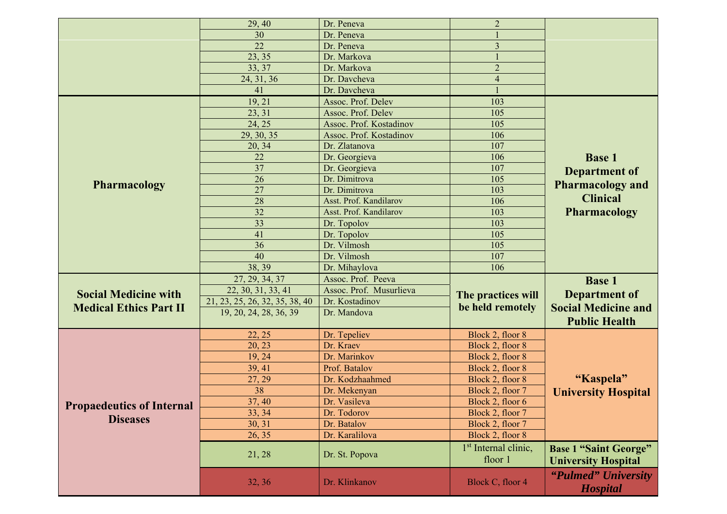|                                  |                                | Dr. Peneva              | $\overline{2}$                   |                              |  |
|----------------------------------|--------------------------------|-------------------------|----------------------------------|------------------------------|--|
|                                  | 29, 40<br>30                   | Dr. Peneva              |                                  |                              |  |
|                                  | 22                             | Dr. Peneva              | $\overline{3}$                   |                              |  |
|                                  | 23, 35                         | Dr. Markova             |                                  |                              |  |
|                                  | 33, 37                         | Dr. Markova             | $\overline{2}$                   |                              |  |
|                                  | 24, 31, 36                     | Dr. Davcheva            | $\overline{4}$                   |                              |  |
|                                  | 41                             | Dr. Davcheva            |                                  |                              |  |
|                                  | 19, 21                         | Assoc. Prof. Delev      | 103                              |                              |  |
|                                  | 23, 31                         | Assoc. Prof. Delev      | 105                              |                              |  |
|                                  | 24, 25                         | Assoc. Prof. Kostadinov | 105                              |                              |  |
|                                  | 29, 30, 35                     | Assoc. Prof. Kostadinov | 106                              |                              |  |
|                                  | 20, 34                         | Dr. Zlatanova           | 107                              |                              |  |
|                                  | 22                             | Dr. Georgieva           | 106                              | <b>Base 1</b>                |  |
|                                  | 37                             | Dr. Georgieva           | 107                              |                              |  |
|                                  | 26                             | Dr. Dimitrova           | 105                              | <b>Department of</b>         |  |
| <b>Pharmacology</b>              | 27                             | Dr. Dimitrova           | 103                              | <b>Pharmacology and</b>      |  |
|                                  | 28                             | Asst. Prof. Kandilarov  | 106                              | <b>Clinical</b>              |  |
|                                  | 32                             | Asst. Prof. Kandilarov  | 103                              | <b>Pharmacology</b>          |  |
|                                  | 33                             | Dr. Topolov             | 103                              |                              |  |
|                                  | 41                             | Dr. Topolov             | 105                              |                              |  |
|                                  | 36                             | Dr. Vilmosh             | 105                              |                              |  |
|                                  | 40                             | Dr. Vilmosh             | 107                              |                              |  |
|                                  | 38, 39                         | Dr. Mihaylova           | 106                              |                              |  |
|                                  |                                |                         |                                  |                              |  |
|                                  | 27, 29, 34, 37                 | Assoc. Prof. Peeva      |                                  | <b>Base 1</b>                |  |
| <b>Social Medicine with</b>      | 22, 30, 31, 33, 41             | Assoc. Prof. Musurlieva | The practices will               | <b>Department of</b>         |  |
| <b>Medical Ethics Part II</b>    | 21, 23, 25, 26, 32, 35, 38, 40 | Dr. Kostadinov          | be held remotely                 | <b>Social Medicine and</b>   |  |
|                                  | 19, 20, 24, 28, 36, 39         | Dr. Mandova             |                                  | <b>Public Health</b>         |  |
|                                  | 22, 25                         | Dr. Tepeliev            | Block 2, floor 8                 |                              |  |
|                                  | 20, 23                         | Dr. Kraev               | Block 2, floor 8                 |                              |  |
|                                  | 19, 24                         | Dr. Marinkov            | Block 2, floor 8                 |                              |  |
|                                  | 39, 41                         | Prof. Batalov           | Block 2, floor 8                 |                              |  |
|                                  | 27, 29                         | Dr. Kodzhaahmed         | Block 2, floor 8                 | "Kaspela"                    |  |
|                                  | 38                             | Dr. Mekenyan            | Block 2, floor 7                 |                              |  |
|                                  | 37, 40                         | Dr. Vasileva            | Block 2, floor 6                 | <b>University Hospital</b>   |  |
| <b>Propaedeutics of Internal</b> | 33, 34                         | Dr. Todorov             | Block 2, floor 7                 |                              |  |
| <b>Diseases</b>                  | 30, 31                         | Dr. Batalov             | Block 2, floor 7                 |                              |  |
|                                  | 26, 35                         | Dr. Karalilova          | Block 2, floor 8                 |                              |  |
|                                  |                                |                         |                                  |                              |  |
|                                  | 21, 28                         | Dr. St. Popova          | 1 <sup>st</sup> Internal clinic, | <b>Base 1 "Saint George"</b> |  |
|                                  |                                |                         | floor 1                          | <b>University Hospital</b>   |  |
|                                  |                                | Dr. Klinkanov           | Block C, floor 4                 | "Pulmed" University          |  |
|                                  | 32, 36                         |                         |                                  | <b>Hospital</b>              |  |
|                                  |                                |                         |                                  |                              |  |